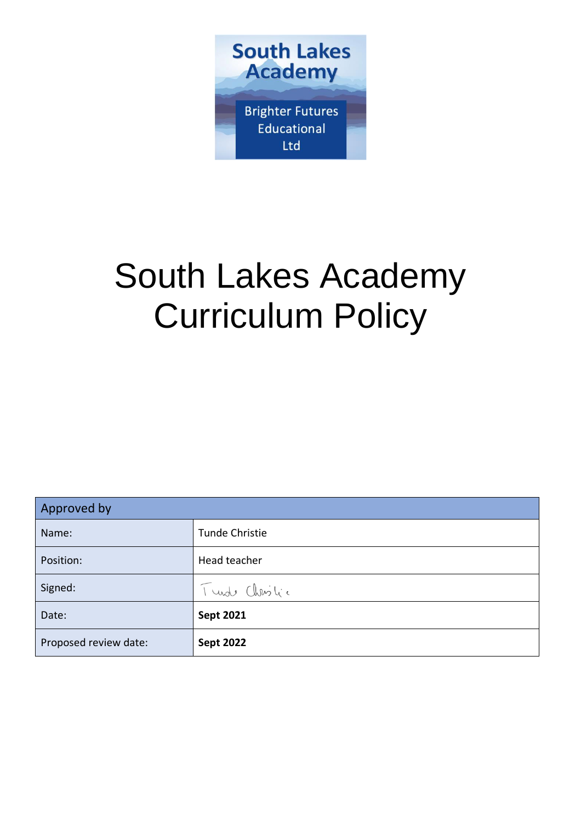

# South Lakes Academy Curriculum Policy

| Approved by           |                  |  |
|-----------------------|------------------|--|
| Name:                 | Tunde Christie   |  |
| Position:             | Head teacher     |  |
| Signed:               | Turde Christic   |  |
| Date:                 | <b>Sept 2021</b> |  |
| Proposed review date: | <b>Sept 2022</b> |  |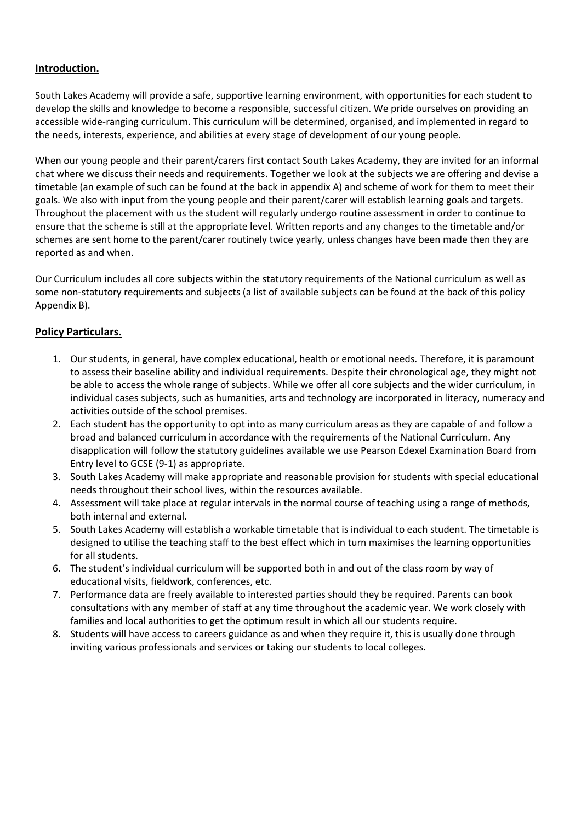## **Introduction.**

South Lakes Academy will provide a safe, supportive learning environment, with opportunities for each student to develop the skills and knowledge to become a responsible, successful citizen. We pride ourselves on providing an accessible wide-ranging curriculum. This curriculum will be determined, organised, and implemented in regard to the needs, interests, experience, and abilities at every stage of development of our young people.

When our young people and their parent/carers first contact South Lakes Academy, they are invited for an informal chat where we discuss their needs and requirements. Together we look at the subjects we are offering and devise a timetable (an example of such can be found at the back in appendix A) and scheme of work for them to meet their goals. We also with input from the young people and their parent/carer will establish learning goals and targets. Throughout the placement with us the student will regularly undergo routine assessment in order to continue to ensure that the scheme is still at the appropriate level. Written reports and any changes to the timetable and/or schemes are sent home to the parent/carer routinely twice yearly, unless changes have been made then they are reported as and when.

Our Curriculum includes all core subjects within the statutory requirements of the National curriculum as well as some non-statutory requirements and subjects (a list of available subjects can be found at the back of this policy Appendix B).

## **Policy Particulars.**

- 1. Our students, in general, have complex educational, health or emotional needs. Therefore, it is paramount to assess their baseline ability and individual requirements. Despite their chronological age, they might not be able to access the whole range of subjects. While we offer all core subjects and the wider curriculum, in individual cases subjects, such as humanities, arts and technology are incorporated in literacy, numeracy and activities outside of the school premises.
- 2. Each student has the opportunity to opt into as many curriculum areas as they are capable of and follow a broad and balanced curriculum in accordance with the requirements of the National Curriculum. Any disapplication will follow the statutory guidelines available we use Pearson Edexel Examination Board from Entry level to GCSE (9-1) as appropriate.
- 3. South Lakes Academy will make appropriate and reasonable provision for students with special educational needs throughout their school lives, within the resources available.
- 4. Assessment will take place at regular intervals in the normal course of teaching using a range of methods, both internal and external.
- 5. South Lakes Academy will establish a workable timetable that is individual to each student. The timetable is designed to utilise the teaching staff to the best effect which in turn maximises the learning opportunities for all students.
- 6. The student's individual curriculum will be supported both in and out of the class room by way of educational visits, fieldwork, conferences, etc.
- 7. Performance data are freely available to interested parties should they be required. Parents can book consultations with any member of staff at any time throughout the academic year. We work closely with families and local authorities to get the optimum result in which all our students require.
- 8. Students will have access to careers guidance as and when they require it, this is usually done through inviting various professionals and services or taking our students to local colleges.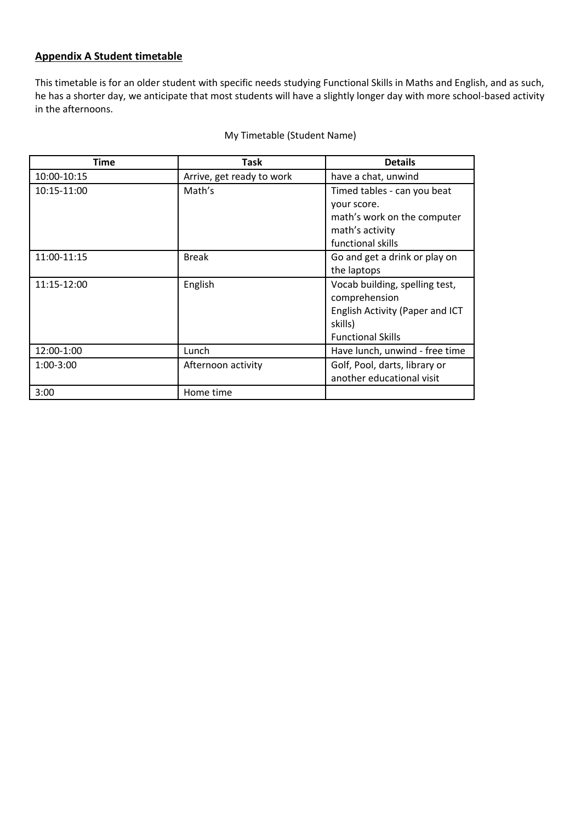## **Appendix A Student timetable**

This timetable is for an older student with specific needs studying Functional Skills in Maths and English, and as such, he has a shorter day, we anticipate that most students will have a slightly longer day with more school-based activity in the afternoons.

| Time        | Task                      | <b>Details</b>                  |
|-------------|---------------------------|---------------------------------|
| 10:00-10:15 | Arrive, get ready to work | have a chat, unwind             |
| 10:15-11:00 | Math's                    | Timed tables - can you beat     |
|             |                           | your score.                     |
|             |                           | math's work on the computer     |
|             |                           | math's activity                 |
|             |                           | functional skills               |
| 11:00-11:15 | <b>Break</b>              | Go and get a drink or play on   |
|             |                           | the laptops                     |
| 11:15-12:00 | English                   | Vocab building, spelling test,  |
|             |                           | comprehension                   |
|             |                           | English Activity (Paper and ICT |
|             |                           | skills)                         |
|             |                           | <b>Functional Skills</b>        |
| 12:00-1:00  | Lunch                     | Have lunch, unwind - free time  |
| $1:00-3:00$ | Afternoon activity        | Golf, Pool, darts, library or   |
|             |                           | another educational visit       |
| 3:00        | Home time                 |                                 |

#### My Timetable (Student Name)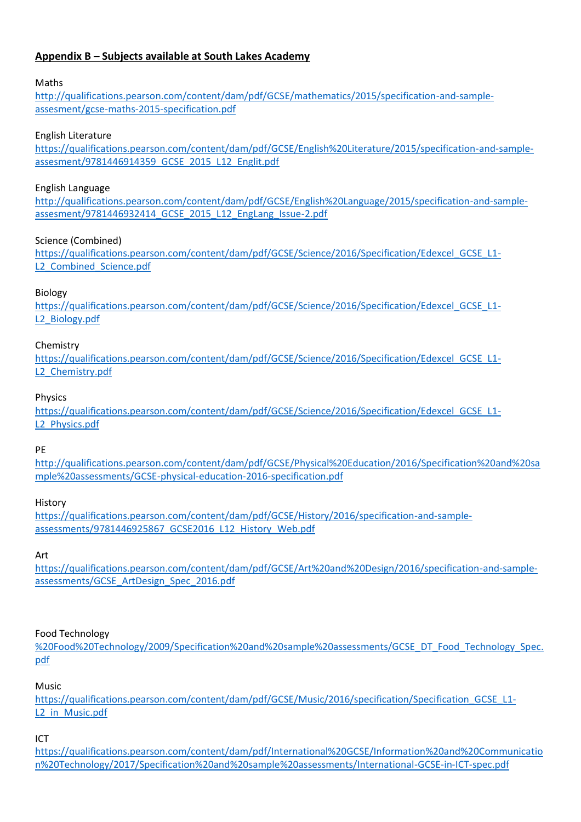# **Appendix B – Subjects available at South Lakes Academy**

## Maths

[http://qualifications.pearson.com/content/dam/pdf/GCSE/mathematics/2015/specification-and-sample](http://qualifications.pearson.com/content/dam/pdf/GCSE/mathematics/2015/specification-and-sample-assesment/gcse-maths-2015-specification.pdf)[assesment/gcse-maths-2015-specification.pdf](http://qualifications.pearson.com/content/dam/pdf/GCSE/mathematics/2015/specification-and-sample-assesment/gcse-maths-2015-specification.pdf)

#### English Literature

[https://qualifications.pearson.com/content/dam/pdf/GCSE/English%20Literature/2015/specification-and-sample](https://qualifications.pearson.com/content/dam/pdf/GCSE/English%20Literature/2015/specification-and-sample-assesment/9781446914359_GCSE_2015_L12_Englit.pdf)[assesment/9781446914359\\_GCSE\\_2015\\_L12\\_Englit.pdf](https://qualifications.pearson.com/content/dam/pdf/GCSE/English%20Literature/2015/specification-and-sample-assesment/9781446914359_GCSE_2015_L12_Englit.pdf)

#### English Language

[http://qualifications.pearson.com/content/dam/pdf/GCSE/English%20Language/2015/specification-and-sample](http://qualifications.pearson.com/content/dam/pdf/GCSE/English%20Language/2015/specification-and-sample-assesment/9781446932414_GCSE_2015_L12_EngLang_Issue-2.pdf)[assesment/9781446932414\\_GCSE\\_2015\\_L12\\_EngLang\\_Issue-2.pdf](http://qualifications.pearson.com/content/dam/pdf/GCSE/English%20Language/2015/specification-and-sample-assesment/9781446932414_GCSE_2015_L12_EngLang_Issue-2.pdf)

## Science (Combined)

[https://qualifications.pearson.com/content/dam/pdf/GCSE/Science/2016/Specification/Edexcel\\_GCSE\\_L1-](https://qualifications.pearson.com/content/dam/pdf/GCSE/Science/2016/Specification/Edexcel_GCSE_L1-L2_Combined_Science.pdf) L2 Combined Science.pdf

## Biology

https://qualifications.pearson.com/content/dam/pdf/GCSE/Science/2016/Specification/Edexcel GCSE\_L1-[L2\\_Biology.pdf](https://qualifications.pearson.com/content/dam/pdf/GCSE/Science/2016/Specification/Edexcel_GCSE_L1-L2_Biology.pdf)

#### Chemistry

https://qualifications.pearson.com/content/dam/pdf/GCSE/Science/2016/Specification/Edexcel GCSE\_L1-L<sub>2</sub> Chemistry.pdf

#### Physics

[https://qualifications.pearson.com/content/dam/pdf/GCSE/Science/2016/Specification/Edexcel\\_GCSE\\_L1-](https://qualifications.pearson.com/content/dam/pdf/GCSE/Science/2016/Specification/Edexcel_GCSE_L1-L2_Physics.pdf) L<sub>2</sub>\_Physics.pdf

#### PE

[http://qualifications.pearson.com/content/dam/pdf/GCSE/Physical%20Education/2016/Specification%20and%20sa](http://qualifications.pearson.com/content/dam/pdf/GCSE/Physical%20Education/2016/Specification%20and%20sample%20assessments/GCSE-physical-education-2016-specification.pdf) [mple%20assessments/GCSE-physical-education-2016-specification.pdf](http://qualifications.pearson.com/content/dam/pdf/GCSE/Physical%20Education/2016/Specification%20and%20sample%20assessments/GCSE-physical-education-2016-specification.pdf)

#### History

[https://qualifications.pearson.com/content/dam/pdf/GCSE/History/2016/specification-and-sample](https://qualifications.pearson.com/content/dam/pdf/GCSE/History/2016/specification-and-sample-assessments/9781446925867_GCSE2016_L12_History_Web.pdf)[assessments/9781446925867\\_GCSE2016\\_L12\\_History\\_Web.pdf](https://qualifications.pearson.com/content/dam/pdf/GCSE/History/2016/specification-and-sample-assessments/9781446925867_GCSE2016_L12_History_Web.pdf)

#### Art

[https://qualifications.pearson.com/content/dam/pdf/GCSE/Art%20and%20Design/2016/specification-and-sample](https://qualifications.pearson.com/content/dam/pdf/GCSE/Art%20and%20Design/2016/specification-and-sample-assessments/GCSE_ArtDesign_Spec_2016.pdf)[assessments/GCSE\\_ArtDesign\\_Spec\\_2016.pdf](https://qualifications.pearson.com/content/dam/pdf/GCSE/Art%20and%20Design/2016/specification-and-sample-assessments/GCSE_ArtDesign_Spec_2016.pdf)

## Food Technology

[%20Food%20Technology/2009/Specification%20and%20sample%20assessments/GCSE\\_DT\\_Food\\_Technology\\_Spec.](https://qualifications.pearson.com/content/dam/pdf/GCSE/Design%20and%20Technology%20-%20Food%20Technology/2009/Specification%20and%20sample%20assessments/GCSE_DT_Food_Technology_Spec.pdf) [pdf](https://qualifications.pearson.com/content/dam/pdf/GCSE/Design%20and%20Technology%20-%20Food%20Technology/2009/Specification%20and%20sample%20assessments/GCSE_DT_Food_Technology_Spec.pdf)

Music

[https://qualifications.pearson.com/content/dam/pdf/GCSE/Music/2016/specification/Specification\\_GCSE\\_L1-](https://qualifications.pearson.com/content/dam/pdf/GCSE/Music/2016/specification/Specification_GCSE_L1-L2_in_Music.pdf) [L2\\_in\\_Music.pdf](https://qualifications.pearson.com/content/dam/pdf/GCSE/Music/2016/specification/Specification_GCSE_L1-L2_in_Music.pdf)

ICT

[https://qualifications.pearson.com/content/dam/pdf/International%20GCSE/Information%20and%20Communicatio](https://qualifications.pearson.com/content/dam/pdf/International%20GCSE/Information%20and%20Communication%20Technology/2017/Specification%20and%20sample%20assessments/International-GCSE-in-ICT-spec.pdf) [n%20Technology/2017/Specification%20and%20sample%20assessments/International-GCSE-in-ICT-spec.pdf](https://qualifications.pearson.com/content/dam/pdf/International%20GCSE/Information%20and%20Communication%20Technology/2017/Specification%20and%20sample%20assessments/International-GCSE-in-ICT-spec.pdf)